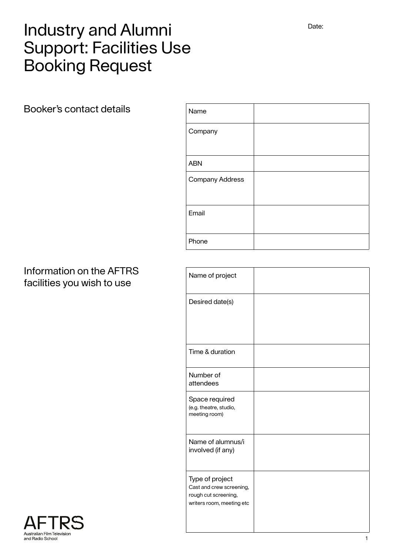# Industry and Alumni Support: Facilities Use Booking Request

Booker's contact details

| Name                   |  |
|------------------------|--|
| Company                |  |
| <b>ABN</b>             |  |
| <b>Company Address</b> |  |
| Email                  |  |
| Phone                  |  |

#### Information on the AFTRS facilities you wish to use

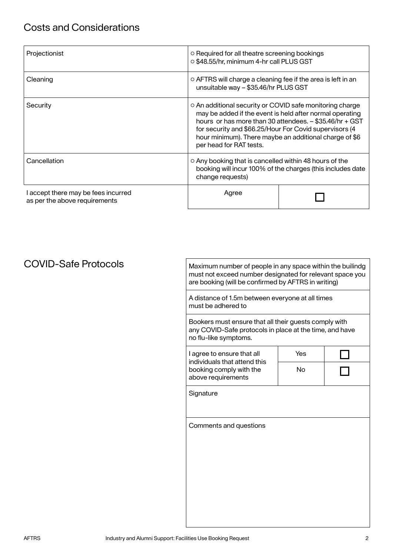| Projectionist                                                        | o Required for all theatre screening bookings<br>o \$48.55/hr, minimum 4-hr call PLUS GST                                                     |                                                                                                                                                                               |
|----------------------------------------------------------------------|-----------------------------------------------------------------------------------------------------------------------------------------------|-------------------------------------------------------------------------------------------------------------------------------------------------------------------------------|
| Cleaning                                                             | ○ AFTRS will charge a cleaning fee if the area is left in an<br>unsuitable way - \$35.46/hr PLUS GST                                          |                                                                                                                                                                               |
| Security                                                             | ○ An additional security or COVID safe monitoring charge<br>for security and \$66.25/Hour For Covid supervisors (4<br>per head for RAT tests. | may be added if the event is held after normal operating<br>hours or has more than 30 attendees. - \$35.46/hr + GST<br>hour minimum). There maybe an additional charge of \$6 |
| Cancellation                                                         | ○ Any booking that is cancelled within 48 hours of the<br>booking will incur 100% of the charges (this includes date<br>change requests)      |                                                                                                                                                                               |
| I accept there may be fees incurred<br>as per the above requirements | Agree                                                                                                                                         |                                                                                                                                                                               |

### COVID-Safe Protocols

Maximum number of people in any space within the builindg must not exceed number designated for relevant space you are booking (will be confirmed by AFTRS in writing)

A distance of 1.5m between everyone at all times must be adhered to

Bookers must ensure that all their guests comply with any COVID-Safe protocols in place at the time, and have no flu-like symptoms.

| I agree to ensure that all   |  |
|------------------------------|--|
| individuals that attend this |  |
| booking comply with the      |  |
| above requirements           |  |

| Yes |  |
|-----|--|
| No  |  |
|     |  |

┑

**Signature** 

Comments and questions